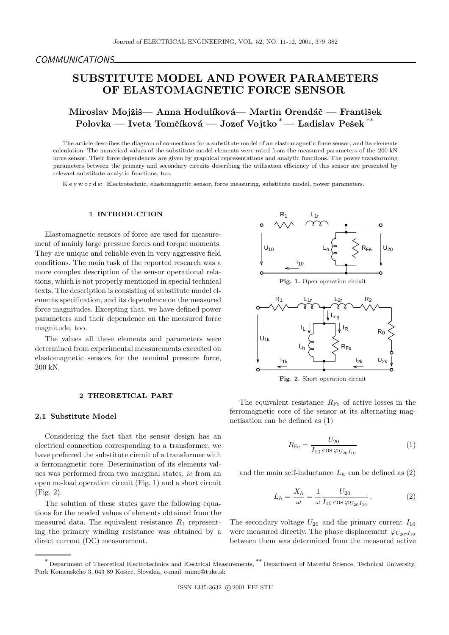## *COMMUNICATIONS*

# **SUBSTITUTE MODEL AND POWER PARAMETERS OF ELASTOMAGNETIC FORCE SENSOR**

Miroslav Mojžiš— Anna Hodulíková— Martin Orendáč — František **Polovka — Iveta Tomčíková — Jozef Vojtko** $^*$ **— Ladislav Pešek** $^{**}$ 

The article describes the diagram of connections for a substitute model of an elastomagnetic force sensor, and its elements calculation. The numerical values of the substitute model elements were rated from the measured parameters of the 200 kN force sensor. Their force dependences are given by graphical representations and analytic functions. The power transforming parameters between the primary and secondary circuits describing the utilisation efficiency of this sensor are presented by relevant substitute analytic functions, too.

K e y w o r d s: Electrotechnic, elastomagnetic sensor, force measuring, substitute model, power parameters.

#### **1 INTRODUCTION**

Elastomagnetic sensors of force are used for measurement of mainly large pressure forces and torque moments. They are unique and reliable even in very aggressive field conditions. The main task of the reported research was a more complex description of the sensor operational relations, which is not properly mentioned in special technical texts. The description is consisting of substitute model elements specification, and its dependence on the measured force magnitudes. Excepting that, we have defined power parameters and their dependence on the measured force magnitude, too.

The values all these elements and parameters were determined from experimental measurements executed on elastomagnetic sensors for the nominal pressure force, 200 kN.

#### **2 THEORETICAL PART**

#### **2.1 Substitute Model**

Considering the fact that the sensor design has an electrical connection corresponding to a transformer, we have preferred the substitute circuit of a transformer with a ferromagnetic core. Determination of its elements values was performed from two marginal states, *ie* from an open no-load operation circuit (Fig. 1) and a short circuit (Fig. 2).

The solution of these states gave the following equations for the needed values of elements obtained from the measured data. The equivalent resistance  $R_1$  representing the primary winding resistance was obtained by a direct current (DC) measurement.



The equivalent resistance  $R_{\text{Fe}}$  of active losses in the ferromagnetic core of the sensor at its alternating magnetisation can be defined as (1)

$$
R_{\rm Fe} = \frac{U_{20}}{I_{10} \cos \varphi_{U_{20} I_{10}}} \tag{1}
$$

and the main self-inductance  $L_h$  can be defined as  $(2)$ 

$$
L_h = \frac{X_h}{\omega} = \frac{1}{\omega} \frac{U_{20}}{I_{10} \cos \varphi_{U_{20} I_{10}}}.
$$
 (2)

The secondary voltage  $U_{20}$  and the primary current  $I_{10}$ were measured directly. The phase displacement  $\varphi_{U_{20} - I_{10}}$ between them was determined from the measured active

<sup>∗</sup> Department of Theoretical Electrotechnics and Electrical Measurements, ∗∗ Department of Material Science, Technical University, Park Komenského 3, 043 89 Košice, Slovakia, e-mail: mimo@tuke.sk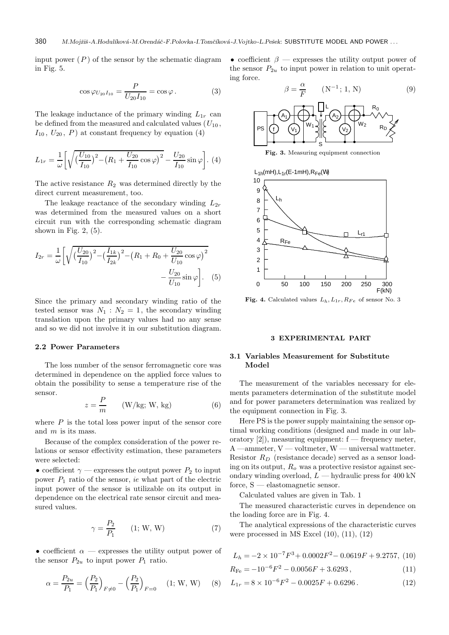input power  $(P)$  of the sensor by the schematic diagram in Fig. 5.

$$
\cos \varphi_{U_{20}I_{10}} = \frac{P}{U_{20}I_{10}} = \cos \varphi.
$$
 (3)

The leakage inductance of the primary winding  $L_{1r}$  can be defined from the measured and calculated values  $(U_{10},$  $I_{10}$ ,  $U_{20}$ , P) at constant frequency by equation (4)

$$
L_{1r} = \frac{1}{\omega} \left[ \sqrt{\left(\frac{U_{10}}{I_{10}}\right)^2 - \left(R_1 + \frac{U_{20}}{I_{10}}\cos\varphi\right)^2} - \frac{U_{20}}{I_{10}}\sin\varphi \right].
$$
 (4)

The active resistance  $R_2$  was determined directly by the direct current measurement, too.

The leakage reactance of the secondary winding  $L_{2r}$ was determined from the measured values on a short circuit run with the corresponding schematic diagram shown in Fig.  $2, (5)$ .

$$
I_{2r} = \frac{1}{\omega} \left[ \sqrt{\left(\frac{U_{20}}{I_{10}}\right)^2 - \left(\frac{I_{1k}}{I_{2k}}\right)^2 - \left(R_1 + R_0 + \frac{U_{20}}{U_{10}} \cos \varphi\right)^2} - \frac{U_{20}}{U_{10}} \sin \varphi \right].
$$
 (5)

Since the primary and secondary winding ratio of the tested sensor was  $N_1 : N_2 = 1$ , the secondary winding translation upon the primary values had no any sense and so we did not involve it in our substitution diagram.

#### **2.2 Power Parameters**

The loss number of the sensor ferromagnetic core was determined in dependence on the applied force values to obtain the possibility to sense a temperature rise of the sensor.

$$
z = \frac{P}{m} \qquad (\text{W/kg}; \text{W}, \text{kg}) \tag{6}
$$

where  $P$  is the total loss power input of the sensor core and  $m$  is its mass.

Because of the complex consideration of the power relations or sensor effectivity estimation, these parameters were selected:

• coefficient  $\gamma$  — expresses the output power  $P_2$  to input power  $P_1$  ratio of the sensor, *ie* what part of the electric input power of the sensor is utilizable on its output in dependence on the electrical rate sensor circuit and measured values.

$$
\gamma = \frac{P_2}{P_1} \qquad (1; \, \mathbf{W}, \, \mathbf{W}) \tag{7}
$$

• coefficient  $\alpha$  — expresses the utility output power of the sensor  $P_{2u}$  to input power  $P_1$  ratio.

$$
\alpha = \frac{P_{2u}}{P_1} = \left(\frac{P_2}{P_1}\right)_{F \neq 0} - \left(\frac{P_2}{P_1}\right)_{F=0} \quad (1; \, \text{W}, \, \text{W}) \tag{8}
$$

• coefficient  $\beta$  — expresses the utility output power of the sensor  $P_{2u}$  to input power in relation to unit operating force.





**Fig. 4.** Calculated values  $L_h$ ,  $L_{1r}$ ,  $R_{Fe}$  of sensor No. 3

## **3 EXPERIMENTAL PART**

# **3.1 Variables Measurement for Substitute Model**

The measurement of the variables necessary for elements parameters determination of the substitute model and for power parameters determination was realized by the equipment connection in Fig. 3.

Here PS is the power supply maintaining the sensor optimal working conditions (designed and made in our laboratory  $[2]$ , measuring equipment: f — frequency meter, A —ammeter, V — voltmeter, W — universal wattmeter. Resistor R*<sup>D</sup>* (resistance decade) served as a sensor loading on its output, R*<sup>o</sup>* was a protective resistor against secondary winding overload,  $L$  — hydraulic press for 400 kN force, S — elastomagnetic sensor.

Calculated values are given in Tab. 1

The measured characteristic curves in dependence on the loading force are in Fig. 4.

The analytical expressions of the characteristic curves were processed in MS Excel (10), (11), (12)

$$
L_h = -2 \times 10^{-7} F^3 + 0.0002 F^2 - 0.0619 F + 9.2757, (10)
$$

$$
R_{\text{Fe}} = -10^{-6}F^2 - 0.0056F + 3.6293\,,\tag{11}
$$

$$
L_{1r} = 8 \times 10^{-6} F^2 - 0.0025F + 0.6296.
$$
 (12)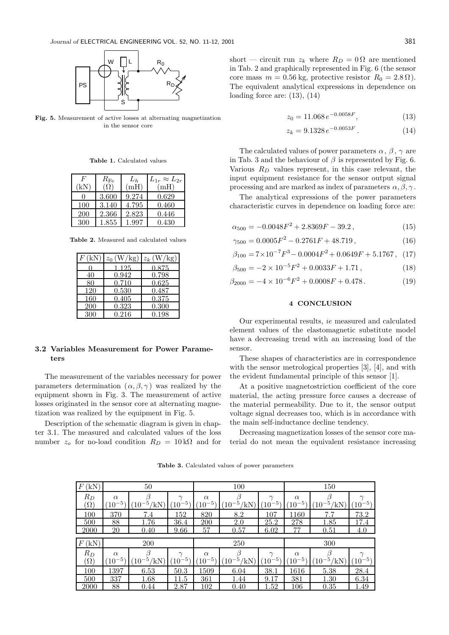

**Fig. 5.** Measurement of active losses at alternating magnetization in the sensor core

**Table 1.** Calculated values

| F<br>΄kΝ | $R_{\rm Fe}$ | $L_h$<br>(mH) | $L_{1r} \approx L_{2r}$<br>(mH) |
|----------|--------------|---------------|---------------------------------|
|          | 3.600        | 9.274         | 0.629                           |
| 100      | 3.140        | 4.795         | 0.460                           |
| 200      | 2.366        | 2.823         | 0.446                           |
| 300      | 1.855        | 1.997         | 0.430                           |

**Table 2.** Measured and calculated values

| F(kN) | $z_0$ (W/kg) | $z_k$ (W/kg) |
|-------|--------------|--------------|
|       | .125         | 0.875        |
| 40    | 0.942        | 0.798        |
| 80    | 0.710        | 0.625        |
| 120   | 0.530        | 0.487        |
| 160   | 0.405        | 0.375        |
| 200   | 0.323        | 0.300        |
| 300   | ${0.216}$    | 0.198        |

#### **3.2 Variables Measurement for Power Parameters**

The measurement of the variables necessary for power parameters determination  $(\alpha, \beta, \gamma)$  was realized by the equipment shown in Fig. 3. The measurement of active losses originated in the sensor core at alternating magnetization was realized by the equipment in Fig. 5.

Description of the schematic diagram is given in chapter 3.1. The measured and calculated values of the loss number  $z<sub>o</sub>$  for no-load condition  $R<sub>D</sub> = 10 \text{ k}\Omega$  and for short — circuit run  $z_k$  where  $R_D = 0 \Omega$  are mentioned in Tab. 2 and graphically represented in Fig. 6 (the sensor core mass  $m = 0.56$  kg, protective resistor  $R_0 = 2.8 \Omega$ ). The equivalent analytical expressions in dependence on loading force are:  $(13)$ ,  $(14)$ 

$$
z_0 = 11.068 \, e^{-0.0058F},\tag{13}
$$

$$
z_k = 9.1328 \, e^{-0.0053F} \,. \tag{14}
$$

The calculated values of power parameters  $\alpha$ ,  $\beta$ ,  $\gamma$  are in Tab. 3 and the behaviour of  $\beta$  is represented by Fig. 6. Various R*<sup>D</sup>* values represent, in this case relevant, the input equipment resistance for the sensor output signal processing and are marked as index of parameters  $\alpha, \beta, \gamma$ .

The analytical expressions of the power parameters characteristic curves in dependence on loading force are:

$$
\alpha_{500} = -0.0048F^2 + 2.8369F - 39.2, \qquad (15)
$$

$$
\gamma_{500} = 0.0005F^2 - 0.2761F + 48.719,\tag{16}
$$

$$
\beta_{100} = 7 \times 10^{-7} F^3 - 0.0004 F^2 + 0.0649 F + 5.1767, \quad (17)
$$

$$
\beta_{500} = -2 \times 10^{-5} F^2 + 0.0033F + 1.71, \qquad (18)
$$

$$
\beta_{2000} = -4 \times 10^{-6} F^2 + 0.0008F + 0.478 \,. \tag{19}
$$

# **4 CONCLUSION**

Our experimental results, *ie* measured and calculated element values of the elastomagnetic substitute model have a decreasing trend with an increasing load of the sensor.

These shapes of characteristics are in correspondence with the sensor metrological properties [3], [4], and with the evident fundamental principle of this sensor [1].

At a positive magnetostriction coefficient of the core material, the acting pressure force causes a decrease of the material permeability. Due to it, the sensor output voltage signal decreases too, which is in accordance with the main self-inductance decline tendency.

Decreasing magnetization losses of the sensor core material do not mean the equivalent resistance increasing

**Table 3.** Calculated values of power parameters

| $\rm(kN)$<br>$F$ (  | 50                      |                     |                                          | 100                     |                           |                     | 150                             |                             |                       |
|---------------------|-------------------------|---------------------|------------------------------------------|-------------------------|---------------------------|---------------------|---------------------------------|-----------------------------|-----------------------|
| $R_D$<br>$(\Omega)$ | $\alpha$<br>$(10^{-5})$ | ′kN<br>$10^{\circ}$ | $\gamma$<br>-51<br>$^{\prime}10^{\cdot}$ | $\alpha$<br>$(10^{-5})$ | ΊĸΝ<br>$10^{\circ}$       | $\sim$<br>$10^{-5}$ | $\alpha$<br>$-5^{\circ}$<br>10  | $^{\prime}10^{-5}$ ,<br>'kN | $\sim$<br>$10^{-5}$   |
| 100                 | 370                     | 7.4                 | 152                                      | 820                     | 8.2                       | 107                 | $1160\,$                        | 7.7                         | 73.2                  |
| 500                 | 88                      | 1.76                | 36.4                                     | 200                     | 2.0                       | 25.2                | 278                             | 1.85                        | 17.4                  |
| 2000                | 20                      | 0.40                | 9.66                                     | 57                      | 0.57                      | 6.02                | 77                              | 0.51                        | 4.0                   |
|                     | 200                     |                     |                                          | 250                     |                           |                     | 300                             |                             |                       |
| (kN)<br>$F\wr$      |                         |                     |                                          |                         |                           |                     |                                 |                             |                       |
| $R_D$<br>$(\Omega)$ | $\alpha$<br>$(10^{-5})$ | /kN<br>$10^{-5}$    | $\gamma$<br>$(10^{-5})$                  | $\alpha$<br>$(10^{-5})$ | $^\prime10^{-5}$ /<br>'kN | $\sim$<br>$10^{-5}$ | $\alpha$<br>$^{\prime}10^{-5})$ | $(10^{-5})$<br>'kN          | $\sim$<br>$(10^{-5})$ |
| 100                 | 1397                    | 6.53                | 50.3                                     | 1509                    | 6.04                      | 38.1                | 1616                            |                             | 28.4                  |
| 500                 | 337                     | 1.68                | 11.5                                     | 361                     | 1.44                      | 9.17                | 381                             | 5.38<br>1.30                | 6.34                  |